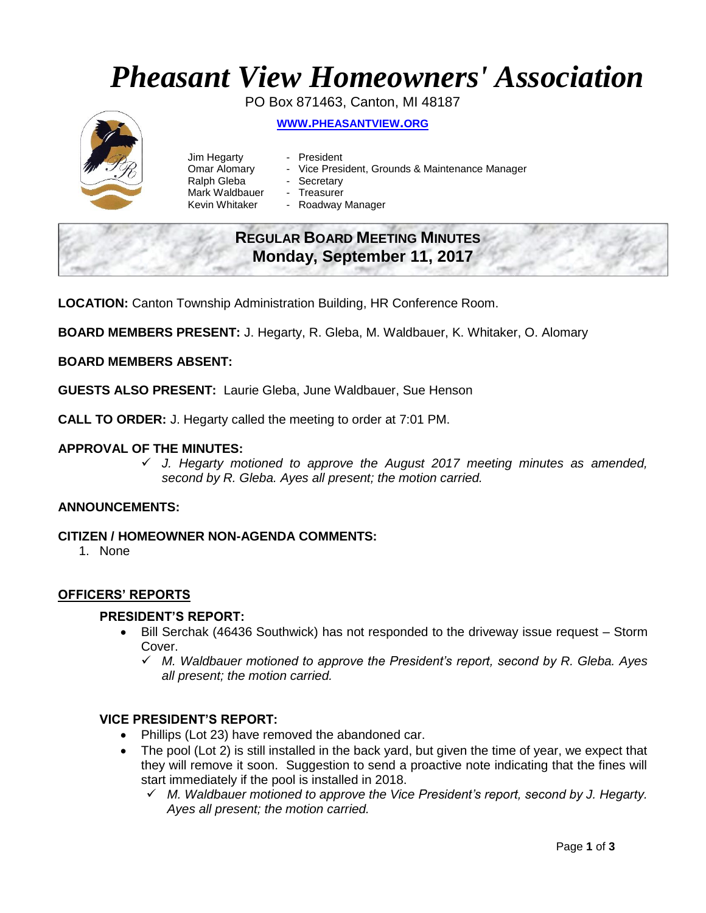# *Pheasant View Homeowners' Association*

PO Box 871463, Canton, MI 48187 **WWW.[PHEASANTVIEW](http://www.pheasantview.org/).ORG**

- Jim Hegarty President Ralph Gleba - Secretary Mark Waldbauer - Treasurer
	-
- Omar Alomary Vice President, Grounds & Maintenance Manager
	-
	-
- Kevin Whitaker Roadway Manager

## **REGULAR BOARD MEETING MINUTES Monday, September 11, 2017**

**LOCATION:** Canton Township Administration Building, HR Conference Room.

**BOARD MEMBERS PRESENT:** J. Hegarty, R. Gleba, M. Waldbauer, K. Whitaker, O. Alomary

#### **BOARD MEMBERS ABSENT:**

**GUESTS ALSO PRESENT:** Laurie Gleba, June Waldbauer, Sue Henson

**CALL TO ORDER:** J. Hegarty called the meeting to order at 7:01 PM.

#### **APPROVAL OF THE MINUTES:**

✓ *J. Hegarty motioned to approve the August 2017 meeting minutes as amended, second by R. Gleba. Ayes all present; the motion carried.* 

#### **ANNOUNCEMENTS:**

#### **CITIZEN / HOMEOWNER NON-AGENDA COMMENTS:**

1. None

#### **OFFICERS' REPORTS**

#### **PRESIDENT'S REPORT:**

- Bill Serchak (46436 Southwick) has not responded to the driveway issue request Storm Cover.
	- ✓ *M. Waldbauer motioned to approve the President's report, second by R. Gleba. Ayes all present; the motion carried.*

#### **VICE PRESIDENT'S REPORT:**

- Phillips (Lot 23) have removed the abandoned car.
- The pool (Lot 2) is still installed in the back yard, but given the time of year, we expect that they will remove it soon. Suggestion to send a proactive note indicating that the fines will start immediately if the pool is installed in 2018.
	- ✓ *M. Waldbauer motioned to approve the Vice President's report, second by J. Hegarty. Ayes all present; the motion carried.*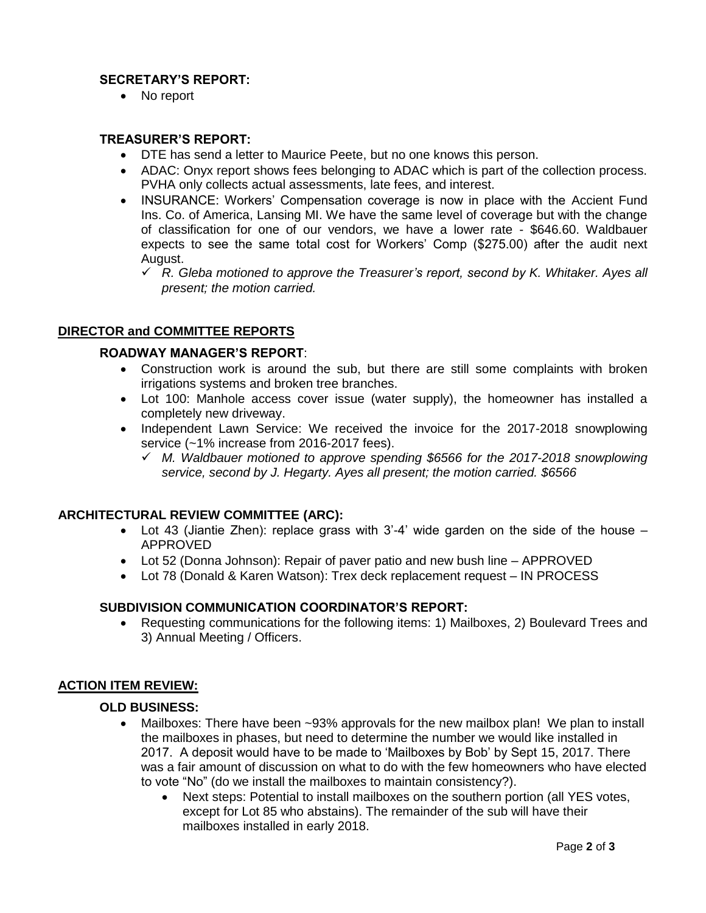### **SECRETARY'S REPORT:**

• No report

#### **TREASURER'S REPORT:**

- DTE has send a letter to Maurice Peete, but no one knows this person.
- ADAC: Onyx report shows fees belonging to ADAC which is part of the collection process. PVHA only collects actual assessments, late fees, and interest.
- INSURANCE: Workers' Compensation coverage is now in place with the Accient Fund Ins. Co. of America, Lansing MI. We have the same level of coverage but with the change of classification for one of our vendors, we have a lower rate - \$646.60. Waldbauer expects to see the same total cost for Workers' Comp (\$275.00) after the audit next August.
	- ✓ *R. Gleba motioned to approve the Treasurer's report, second by K. Whitaker. Ayes all present; the motion carried.*

#### **DIRECTOR and COMMITTEE REPORTS**

#### **ROADWAY MANAGER'S REPORT**:

- Construction work is around the sub, but there are still some complaints with broken irrigations systems and broken tree branches.
- Lot 100: Manhole access cover issue (water supply), the homeowner has installed a completely new driveway.
- Independent Lawn Service: We received the invoice for the 2017-2018 snowplowing service (~1% increase from 2016-2017 fees).
	- ✓ *M. Waldbauer motioned to approve spending \$6566 for the 2017-2018 snowplowing service, second by J. Hegarty. Ayes all present; the motion carried. \$6566*

#### **ARCHITECTURAL REVIEW COMMITTEE (ARC):**

- Lot 43 (Jiantie Zhen): replace grass with 3'-4' wide garden on the side of the house APPROVED
- Lot 52 (Donna Johnson): Repair of paver patio and new bush line APPROVED
- Lot 78 (Donald & Karen Watson): Trex deck replacement request IN PROCESS

#### **SUBDIVISION COMMUNICATION COORDINATOR'S REPORT:**

• Requesting communications for the following items: 1) Mailboxes, 2) Boulevard Trees and 3) Annual Meeting / Officers.

#### **ACTION ITEM REVIEW:**

#### **OLD BUSINESS:**

- Mailboxes: There have been ~93% approvals for the new mailbox plan! We plan to install the mailboxes in phases, but need to determine the number we would like installed in 2017. A deposit would have to be made to 'Mailboxes by Bob' by Sept 15, 2017. There was a fair amount of discussion on what to do with the few homeowners who have elected to vote "No" (do we install the mailboxes to maintain consistency?).
	- Next steps: Potential to install mailboxes on the southern portion (all YES votes, except for Lot 85 who abstains). The remainder of the sub will have their mailboxes installed in early 2018.